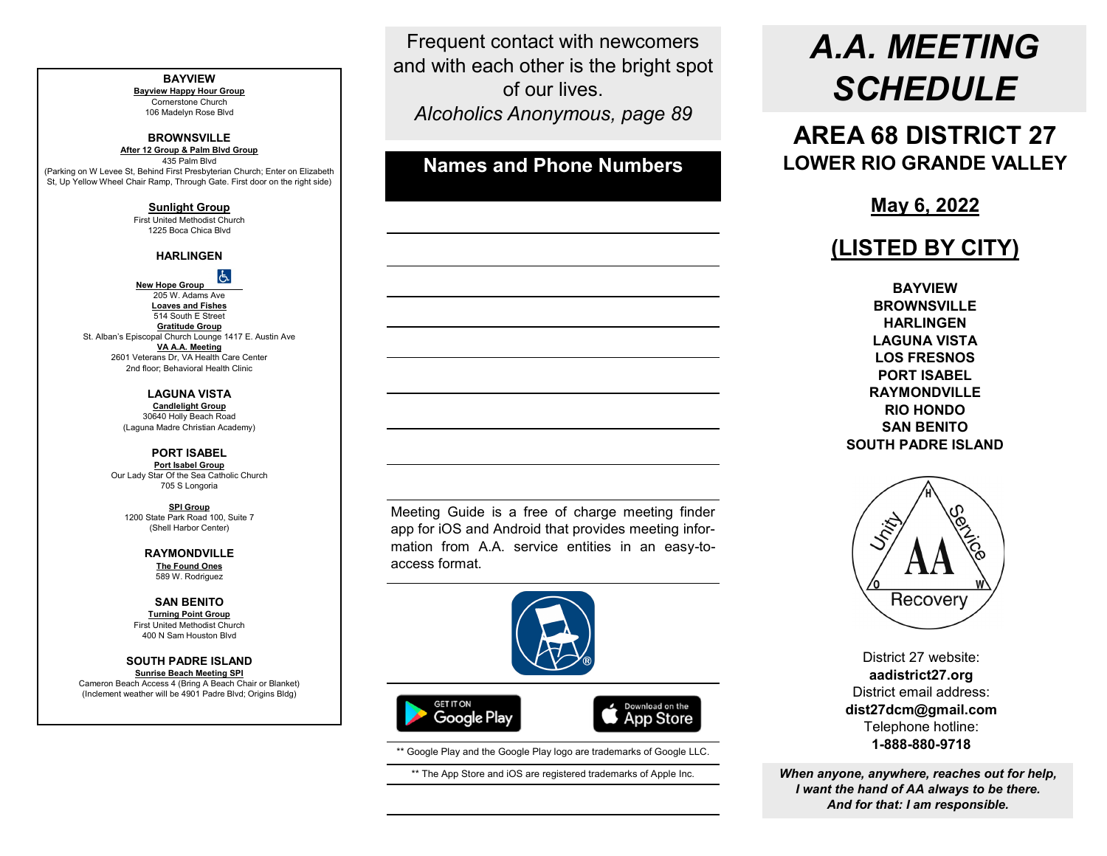#### **BAYVIEW Bayview Happy Hour Group** Cornerstone Church 106 Madelyn Rose Blvd **BROWNSVILLE After 12 Group & Palm Blvd Group** 435 Palm Blvd (Parking on W Levee St, Behind First Presbyterian Church; Enter on Elizabeth St, Up Yellow Wheel Chair Ramp, Through Gate. First door on the right side) **Sunlight Group** First United Methodist Church 1225 Boca Chica Blvd **HARLINGEN New Hope Group** 205 W. Adams Ave **Loaves and Fishes** 514 South E Street **Gratitude Group** St. Alban's Episcopal Church Lounge 1417 E. Austin Ave **VA A.A. Meeting** 2601 Veterans Dr, VA Health Care Center 2nd floor; Behavioral Health Clinic **LAGUNA VISTA Candlelight Group** 30640 Holly Beach Road (Laguna Madre Christian Academy) **PORT ISABEL Port Isabel Group** Our Lady Star Of the Sea Catholic Church 705 S Longoria **SPI Group** 1200 State Park Road 100, Suite 7 (Shell Harbor Center) **RAYMONDVILLE The Found Ones** 589 W. Rodriguez **SAN BENITO Turning Point Group** First United Methodist Church 400 N Sam Houston Blvd **SOUTH PADRE ISLAND Sunrise Beach Meeting SPI** Cameron Beach Access 4 (Bring A Beach Chair or Blanket) (Inclement weather will be 4901 Padre Blvd; Origins Bldg)

Frequent contact with newcomers and with each other is the bright spot of our lives. *Alcoholics Anonymous, page 89*

**Names and Phone Numbers**

# *A.A. MEETING SCHEDULE*

**AREA 68 DISTRICT 27 LOWER RIO GRANDE VALLEY**

**May 6, 2022**

## **(LISTED BY CITY)**

**BAYVIEW BROWNSVILLE HARLINGEN LAGUNA VISTA LOS FRESNOS PORT ISABEL RAYMONDVILLE RIO HONDO SAN BENITO SOUTH PADRE ISLAND**



District 27 website: **aadistrict27.org** District email address: **dist27dcm@gmail.com** Telephone hotline: **1-888-880-9718**

*When anyone, anywhere, reaches out for help, I want the hand of AA always to be there. And for that: I am responsible.*

Meeting Guide is a free of charge meeting finder app for iOS and Android that provides meeting information from A.A. service entities in an easy-toaccess format.



\*\* Google Play and the Google Play logo are trademarks of Google LLC.

\*\* The App Store and iOS are registered trademarks of Apple Inc.